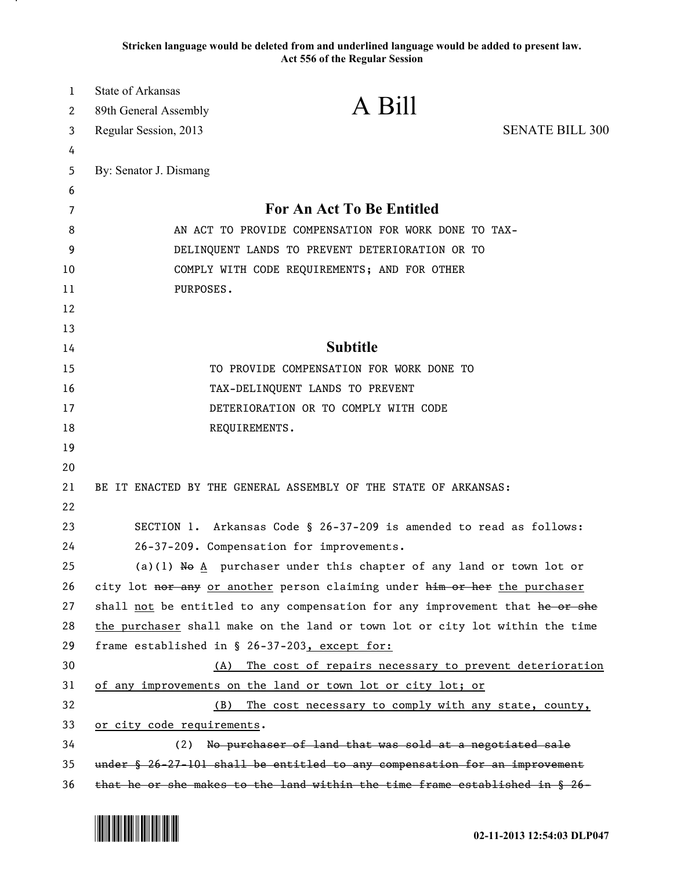**Stricken language would be deleted from and underlined language would be added to present law. Act 556 of the Regular Session**

| $\mathbf{1}$ | State of Arkansas                                    |                                                                                   |                        |
|--------------|------------------------------------------------------|-----------------------------------------------------------------------------------|------------------------|
| 2            | 89th General Assembly                                | A Bill                                                                            |                        |
| 3            | Regular Session, 2013                                |                                                                                   | <b>SENATE BILL 300</b> |
| 4            |                                                      |                                                                                   |                        |
| 5            | By: Senator J. Dismang                               |                                                                                   |                        |
| 6            |                                                      |                                                                                   |                        |
| 7            | <b>For An Act To Be Entitled</b>                     |                                                                                   |                        |
| 8            | AN ACT TO PROVIDE COMPENSATION FOR WORK DONE TO TAX- |                                                                                   |                        |
| 9            | DELINQUENT LANDS TO PREVENT DETERIORATION OR TO      |                                                                                   |                        |
| 10           | COMPLY WITH CODE REQUIREMENTS; AND FOR OTHER         |                                                                                   |                        |
| 11           | PURPOSES.                                            |                                                                                   |                        |
| 12           |                                                      |                                                                                   |                        |
| 13           |                                                      | <b>Subtitle</b>                                                                   |                        |
| 14           |                                                      |                                                                                   |                        |
| 15           |                                                      | TO PROVIDE COMPENSATION FOR WORK DONE TO                                          |                        |
| 16<br>17     |                                                      | TAX-DELINQUENT LANDS TO PREVENT<br>DETERIORATION OR TO COMPLY WITH CODE           |                        |
| 18           |                                                      |                                                                                   |                        |
| 19           |                                                      | REQUIREMENTS.                                                                     |                        |
| 20           |                                                      |                                                                                   |                        |
| 21           |                                                      | BE IT ENACTED BY THE GENERAL ASSEMBLY OF THE STATE OF ARKANSAS:                   |                        |
| 22           |                                                      |                                                                                   |                        |
| 23           |                                                      | SECTION 1. Arkansas Code § 26-37-209 is amended to read as follows:               |                        |
| 24           |                                                      | 26-37-209. Compensation for improvements.                                         |                        |
| 25           |                                                      | (a)(1) No $\underline{A}$ purchaser under this chapter of any land or town lot or |                        |
| 26           |                                                      | city lot nor any or another person claiming under him or her the purchaser        |                        |
| 27           |                                                      | shall not be entitled to any compensation for any improvement that he or she      |                        |
| 28           |                                                      | the purchaser shall make on the land or town lot or city lot within the time      |                        |
| 29           | frame established in § 26-37-203, except for:        |                                                                                   |                        |
| 30           | (A)                                                  | The cost of repairs necessary to prevent deterioration                            |                        |
| 31           |                                                      | of any improvements on the land or town lot or city lot; or                       |                        |
| 32           | (B)                                                  | The cost necessary to comply with any state, county,                              |                        |
| 33           | or city code requirements.                           |                                                                                   |                        |
| 34           |                                                      | (2) No purchaser of land that was sold at a negotiated sale                       |                        |
| 35           |                                                      | under § 26-27-101 shall be entitled to any compensation for an improvement        |                        |
| 36           |                                                      | that he or she makes to the land within the time frame established in § 26-       |                        |